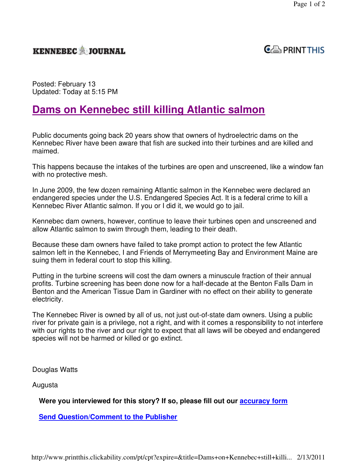## **KENNEBEC JOURNAL**



Posted: February 13 Updated: Today at 5:15 PM

## **Dams on Kennebec still killing Atlantic salmon**

Public documents going back 20 years show that owners of hydroelectric dams on the Kennebec River have been aware that fish are sucked into their turbines and are killed and maimed.

This happens because the intakes of the turbines are open and unscreened, like a window fan with no protective mesh.

In June 2009, the few dozen remaining Atlantic salmon in the Kennebec were declared an endangered species under the U.S. Endangered Species Act. It is a federal crime to kill a Kennebec River Atlantic salmon. If you or I did it, we would go to jail.

Kennebec dam owners, however, continue to leave their turbines open and unscreened and allow Atlantic salmon to swim through them, leading to their death.

Because these dam owners have failed to take prompt action to protect the few Atlantic salmon left in the Kennebec, I and Friends of Merrymeeting Bay and Environment Maine are suing them in federal court to stop this killing.

Putting in the turbine screens will cost the dam owners a minuscule fraction of their annual profits. Turbine screening has been done now for a half-decade at the Benton Falls Dam in Benton and the American Tissue Dam in Gardiner with no effect on their ability to generate electricity.

The Kennebec River is owned by all of us, not just out-of-state dam owners. Using a public river for private gain is a privilege, not a right, and with it comes a responsibility to not interfere with our rights to the river and our right to expect that all laws will be obeyed and endangered species will not be harmed or killed or go extinct.

Douglas Watts

Augusta

**Were you interviewed for this story? If so, please fill out our accuracy form**

**Send Question/Comment to the Publisher**